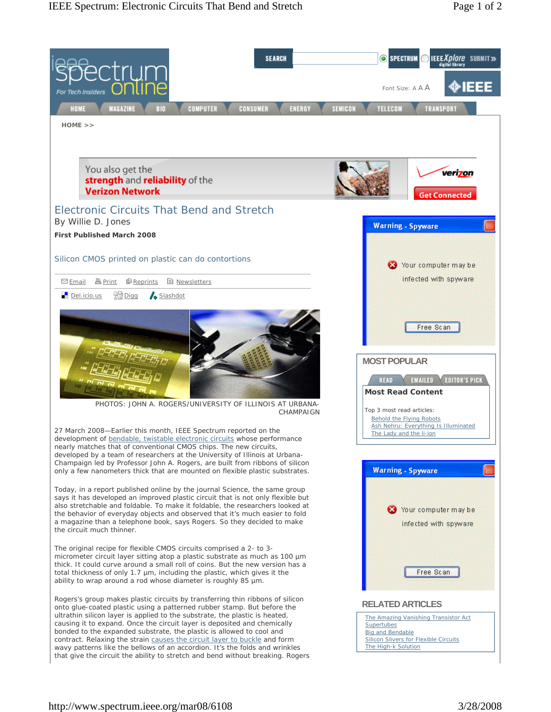